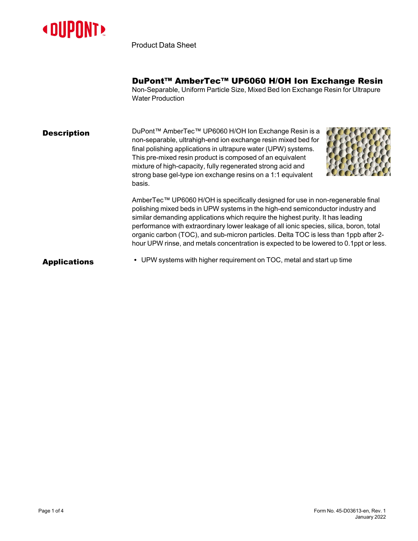

Product Data Sheet

DuPont™ AmberTec™ UP6060 H/OH Ion Exchange Resin

Non-Separable, Uniform Particle Size, Mixed Bed Ion Exchange Resin for Ultrapure Water Production

#### **Description** DuPont™ AmberTec™ UP6060 H/OH Ion Exchange Resin is a non-separable, ultrahigh-end ion exchange resin mixed bed for final polishing applications in ultrapure water (UPW) systems. This pre-mixed resin product is composed of an equivalent mixture of high-capacity, fully regenerated strong acid and strong base gel-type ion exchange resins on a 1:1 equivalent basis.



AmberTec™ UP6060 H/OH is specifically designed for use in non-regenerable final polishing mixed beds in UPW systems in the high-end semiconductor industry and similar demanding applications which require the highest purity. It has leading performance with extraordinary lower leakage of all ionic species, silica, boron, total organic carbon (TOC), and sub-micron particles. Delta TOC is less than 1ppb after 2 hour UPW rinse, and metals concentration is expected to be lowered to 0.1ppt or less.

Applications • UPW systems with higher requirement on TOC, metal and start up time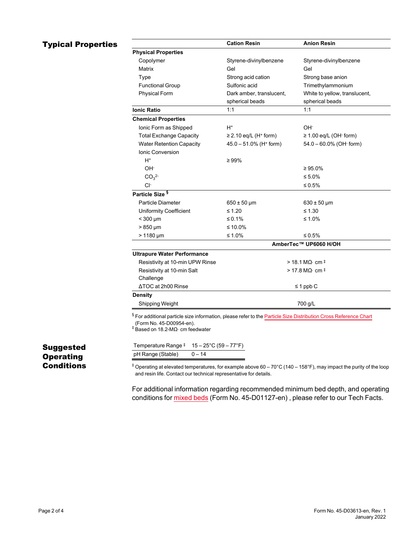# **Typical Properties**

|                                    | <b>Cation Resin</b>                    | <b>Anion Resin</b>                 |
|------------------------------------|----------------------------------------|------------------------------------|
| <b>Physical Properties</b>         |                                        |                                    |
| Copolymer                          | Styrene-divinylbenzene                 | Styrene-divinylbenzene             |
| Matrix                             | Gel                                    | Gel                                |
| Type                               | Strong acid cation                     | Strong base anion                  |
| <b>Functional Group</b>            | Sulfonic acid                          | Trimethylammonium                  |
| Physical Form                      | Dark amber, translucent,               | White to yellow, translucent,      |
|                                    | spherical beads                        | spherical beads                    |
| <b>Ionic Ratio</b>                 | 1:1                                    | 1:1                                |
| <b>Chemical Properties</b>         |                                        |                                    |
| Ionic Form as Shipped              | H+                                     | OH-                                |
| <b>Total Exchange Capacity</b>     | $\geq$ 2.10 eq/L (H <sup>+</sup> form) | $\geq$ 1.00 eq/L (OH $\cdot$ form) |
| <b>Water Retention Capacity</b>    | $45.0 - 51.0\%$ (H <sup>+</sup> form)  | $54.0 - 60.0\%$ (OH $\cdot$ form)  |
| <b>Ionic Conversion</b>            |                                        |                                    |
| $H^*$                              | $\geq 99\%$                            |                                    |
| OH-                                |                                        | $\geq 95.0\%$                      |
| CO <sub>3</sub> <sup>2</sup>       |                                        | ≤ 5.0%                             |
| CI-                                |                                        | ≤ 0.5%                             |
| Particle Size <sup>§</sup>         |                                        |                                    |
| <b>Particle Diameter</b>           | $650 \pm 50 \,\mu m$                   | $630 \pm 50 \,\mu m$               |
| <b>Uniformity Coefficient</b>      | $\leq 1.20$                            | $\leq 1.30$                        |
| $<$ 300 $\mu$ m                    | ≤ 0.1%                                 | ≤ 1.0%                             |
| $>850 \mu m$                       | ≤ 10.0%                                |                                    |
| $> 1180 \mu m$                     | ≤ 1.0%                                 | ≤ 0.5%                             |
|                                    | AmberTec™ UP6060 H/OH                  |                                    |
| <b>Ultrapure Water Performance</b> |                                        |                                    |
| Resistivity at 10-min UPW Rinse    | $>$ 18.1 MQ $\cdot$ cm $\pm$           |                                    |
| Resistivity at 10-min Salt         | $>$ 17.8 MQ $\cdot$ cm $\pm$           |                                    |
| Challenge                          |                                        |                                    |
| ΔTOC at 2h00 Rinse                 |                                        | $\leq 1$ ppb C                     |
| <b>Density</b>                     |                                        |                                    |
| Shipping Weight                    | 700 g/L                                |                                    |

(Form No. 45-D00954-en). ‡ Based on 18.2-MΩ⋅ cm feedwater

| Temperature Range $\pm$ 15 - 25°C (59 - 77°F) |          |
|-----------------------------------------------|----------|
| pH Range (Stable)                             | $0 - 14$ |

### Suggested **Operating Conditions**

 $+$  Operating at elevated temperatures, for example above 60 – 70°C (140 – 158°F), may impact the purity of the loop and resin life. Contact our technical representative for details.

For additional information regarding recommended minimum bed depth, and operating conditions for [mixed](https://www.dupont.com/content/dam/dupont/amer/us/en/water-solutions/public/documents/en/45-D01127-en.pdf) beds (Form No. 45-D01127-en) , please refer to our Tech Facts.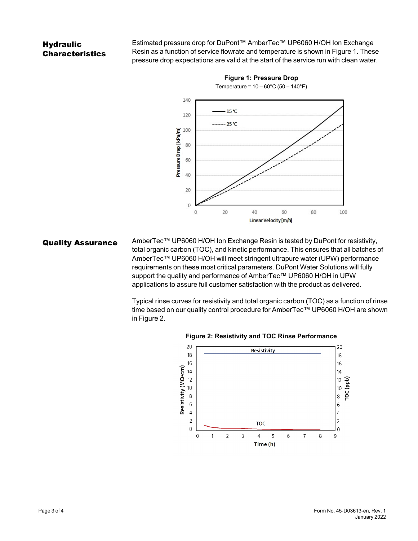## **Hydraulic** Characteristics

Estimated pressure drop for DuPont™ AmberTec™ UP6060 H/OH Ion Exchange Resin as a function of service flowrate and temperature is shown in [Figure 1.](#page-2-0) These pressure drop expectations are valid at the start of the service run with clean water.

<span id="page-2-0"></span>

**Figure 1: Pressure Drop** Temperature =  $10 - 60^{\circ}$ C (50 – 140 $^{\circ}$ F)

Quality Assurance AmberTec™ UP6060 H/OH Ion Exchange Resin is tested by DuPont for resistivity, total organic carbon (TOC), and kinetic performance. This ensures that all batches of AmberTec™ UP6060 H/OH will meet stringent ultrapure water (UPW) performance requirements on these most critical parameters. DuPont Water Solutions will fully support the quality and performance of AmberTec™ UP6060 H/OH in UPW applications to assure full customer satisfaction with the product as delivered.

> Typical rinse curves for resistivity and total organic carbon (TOC) as a function of rinse time based on our quality control procedure for AmberTec™ UP6060 H/OH are shown in [Figure 2.](#page-2-1)



<span id="page-2-1"></span>**Figure 2: Resistivity and TOC Rinse Performance**